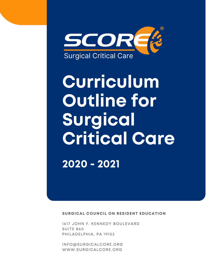

# **Curriculum Outline for Surgical Critical Care 2020 - 2021**

**SURGICAL COUNCIL ON RESIDENT EDUCATION**

1617 JOHN F. KENNEDY BOULEVARD SUITE 860 PHILADELPHIA, PA 19103

[INFO@SURGICALCORE.ORG](mailto:info@surgicalcore.org) [WWW.SURGICALCORE.ORG](http://www.surgicalcore.org/)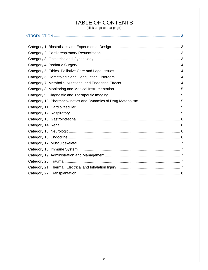# TABLE OF CONTENTS

(click to go to that page)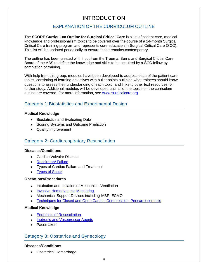## INTRODUCTION

## EXPLANATION OF THE CURRICULUM OUTLINE

<span id="page-2-0"></span>The **SCORE Curriculum Outline for Surgical Critical Care** is a list of patient care, medical knowledge and professionalism topics to be covered over the course of a 24-month Surgical Critical Care training program and represents core education in Surgical Critical Care (SCC). This list will be updated periodically to ensure that it remains contemporary.

The outline has been created with input from the Trauma, Burns and Surgical Critical Care Board of the ABS to define the knowledge and skills to be acquired by a SCC fellow by completion of training.

With help from this group, modules have been developed to address each of the patient care topics, consisting of learning objectives with bullet points outlining what trainees should know, questions to assess their understanding of each topic, and links to other text resources for further study. Additional modules will be developed until all of the topics on the curriculum outline are covered. For more information, see [www.surgicalcore.org.](www.surgicalcore.org)

## <span id="page-2-1"></span>Category 1:Biostatistics and Experimental Design

## **Medical Knowledge**

- Biostatistics and Evaluating Data
- Scoring Systems and Outcome Prediction
- Quality Improvement

## <span id="page-2-2"></span>Category 2: Cardiorespiratory Resuscitation

#### **Diseases/Conditions**

- Cardiac Valvular Disease
- [Respiratory Failure](https://www.surgicalcore.org/modulecontent.aspx?id=1000509)
- Types of Cardiac Failure and Treatment
- [Types of Shock](https://www.surgicalcore.org/modulecontent.aspx?id=1000321)

## **Operations/Procedures**

- Intubation and Initiation of Mechanical Ventilation
- [Invasive Hemodynamic Monitoring](https://www.surgicalcore.org/modulecontent.aspx?id=1000323)
- Mechanical Support Devices including IABP, ECMO
- [Techniques for Closed and Open Cardiac Compression, Pericardiocentesis](https://www.surgicalcore.org/modulecontent.aspx?id=1000341)

## **Medical Knowledge**

- [Endpoints of Resuscitation](https://www.surgicalcore.org/modulecontent.aspx?id=1000324)
- [Inotropic and Vasopressor Agents](https://www.surgicalcore.org/modulecontent.aspx?id=1000322)
- Pacemakers

## <span id="page-2-3"></span>Category 3: Obstetrics and Gynecology

## **Diseases/Conditions**

• Obstetrical Hemorrhage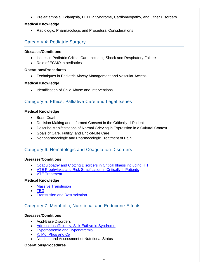• Pre-eclampsia, Eclampsia, HELLP Syndrome, Cardiomyopathy, and Other Disorders

## **Medical Knowledge**

• Radiologic, Pharmacologic and Procedural Considerations

## <span id="page-3-0"></span>Category 4: Pediatric Surgery

#### **Diseases/Conditions**

- Issues in Pediatric Critical Care Including Shock and Respiratory Failure
- Role of ECMO in pediatrics

## **Operations/Procedures**

• Techniques in Pediatric Airway Management and Vascular Access

## **Medical Knowledge**

• Identification of Child Abuse and Interventions

## <span id="page-3-1"></span>Category 5: Ethics, Palliative Care and Legal Issues

#### **Medical Knowledge**

- Brain Death
- Decision Making and Informed Consent in the Critically Ill Patient
- Describe Manifestations of Normal Grieving in Expression in a Cultural Context
- Goals of Care, Futility, and End-of-Life Care
- Nonpharmacologic and Pharmacologic Treatment of Pain

## <span id="page-3-2"></span>Category 6: Hematologic and Coagulation Disorders

## **Diseases/Conditions**

- [Coagulopathy and Clotting Disorders in Critical Illness including HIT](https://www.surgicalcore.org/modulecontent.aspx?id=1000326)
- [VTE Prophylaxis and Risk Stratification in Critically Ill Patients](https://www.surgicalcore.org/modulecontent.aspx?id=1000327)
- [VTE Treatment](https://www.surgicalcore.org/modulecontent.aspx?id=1000354)

## **Medical Knowledge**

- [Massive Transfusion](https://www.surgicalcore.org/modulecontent.aspx?id=1000325)
- [TEG](https://www.surgicalcore.org/modulecontent.aspx?id=1000340)
- **[Transfusion and Resuscitation](https://www.surgicalcore.org/modulecontent.aspx?id=1000342)**

## <span id="page-3-3"></span>Category 7: Metabolic, Nutritional and Endocrine Effects

## **Diseases/Conditions**

- Acid-Base Disorders
- [Adrenal Insufficiency, Sick-Euthyroid Syndrome](https://www.surgicalcore.org/Search.aspx?q=Adrenal%20Insufficiency%2C%20Sick-Euthyroid%20Syndrome)
- [Hypernatremia and Hyponatremia](https://www.surgicalcore.org/modulecontent.aspx?id=1000351)
- [K, Mg, Phos and Ca](https://www.surgicalcore.org/modulecontent.aspx?id=1000339)
- Nutrition and Assessment of Nutritional Status

#### **Operations/Procedures**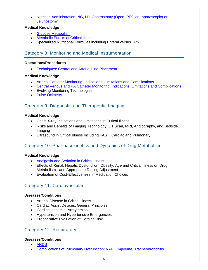• [Nutrition Administration: NG, NJ, Gastrostomy \(Open, PEG or Laparoscopic\) or](https://www.surgicalcore.org/modulecontent.aspx?id=1000335)  **[Jejunostomy](https://www.surgicalcore.org/modulecontent.aspx?id=1000335)** 

## **Medical Knowledge**

- [Glucose Metabolism](https://www.surgicalcore.org/modulecontent.aspx?id=1000332)
- **[Metabolic Effects of Critical Illness](https://www.surgicalcore.org/modulecontent.aspx?id=1000331)**
- Specialized Nutritional Formulas including Enteral versus TPN

## <span id="page-4-0"></span>Category 8: Monitoring and Medical Instrumentation

## **Operations/Procedures**

• [Techniques: Central and Arterial Line Placement](https://www.surgicalcore.org/modulecontent.aspx?id=1000604)

## **Medical Knowledge**

- [Arterial Catheter Monitoring: Indications, Limitations and Complications](https://www.surgicalcore.org/modulecontent.aspx?id=1000602)
- [Central Venous and PA Catheter Monitoring:](https://www.surgicalcore.org/modulecontent.aspx?id=1000601) Indications, Limitations and Complications
- Evolving Monitoring Technologies
- [Pulse Oximetry](https://www.surgicalcore.org/modulecontent.aspx?id=1000603)

## <span id="page-4-1"></span>Category 9: Diagnostic and Therapeutic Imaging

## **Medical Knowledge**

- Chest X-ray Indications and Limitations in Critical Illness
- Risks and Benefits of Imaging Technology: CT Scan, MRI, Angiography, and Bedside Imaging
- Ultrasound in Critical Illness Including FAST, Cardiac and Pulmonary

## <span id="page-4-2"></span>Category 10: Pharmacokinetics and Dynamics of Drug Metabolism

## **Medical Knowledge**

- [Analgesia and Sedation in Critical Illness](https://www.surgicalcore.org/modulecontent.aspx?id=1000616)
- Effects of Renal, Hepatic Dysfunction, Obesity, Age and Critical Illness on Drug Metabolism - and Appropriate Dosing Adjustment
- Evaluation of Cost-Effectiveness in Medication Choices

## <span id="page-4-3"></span>Category 11: Cardiovascular

## **Diseases/Conditions**

- Arterial Disease in Critical Illness
- Cardiac Assist Devices: General Principles
- Cardiac Ischemia, Arrhythmias
- Hypertension and Hypertensive Emergencies
- Preoperative Evaluation of Cardiac Risk

## <span id="page-4-4"></span>Category 12: Respiratory

## **Diseases/Conditions**

- [ARDS](https://www.surgicalcore.org/modulecontent.aspx?id=1000343)
- [Complications of Pulmonary Dysfunction: VAP, Empyema, Tracheobronchitis](https://www.surgicalcore.org/modulecontent.aspx?id=1000344)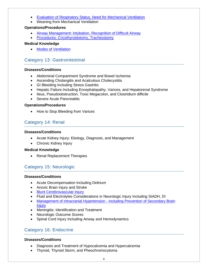- [Evaluation of Respiratory Status, Need for Mechanical Ventilation](https://www.surgicalcore.org/modulecontent.aspx?id=1000336)
- Weaning from Mechanical Ventilation

#### **Operations/Procedures**

- [Airway Management: Intubation, Recognition of Difficult Airway](https://www.surgicalcore.org/modulecontent.aspx?id=1000337)
- [Procedures: Cricothyroidotomy, Tracheostomy](https://www.surgicalcore.org/modulecontent.aspx?id=1000338)

## **Medical Knowledge**

• [Modes of Ventilation](https://www.surgicalcore.org/modulecontent.aspx?id=1000347)

## <span id="page-5-0"></span>Category 13: Gastrointestinal

## **Diseases/Conditions**

- Abdominal Compartment Syndrome and Bowel Ischemia
- Ascending Cholangitis and Acalculous Cholecystitis
- GI Bleeding Including Stress Gastritis
- Hepatic Failure Including Encephalopathy, Varices, and Hepatorenal Syndrome
- Ileus, Pseudoobstruction, Toxic Megacolon, and Clostridium difficile
- Severe Acute Pancreatitis

## **Operations/Procedures**

• How to Stop Bleeding from Varices

## <span id="page-5-1"></span>Category 14: Renal

## **Diseases/Conditions**

- Acute Kidney Injury: Etiology, Diagnosis, and Management
- Chronic Kidney Injury

## **Medical Knowledge**

• Renal Replacement Therapies

## <span id="page-5-2"></span>Category 15: Neurologic

## **Diseases/Conditions**

- Acute Decompensation Including Delirium
- Anoxic Brain Injury and Stroke
- [Blunt Cerebrovascular Injury](https://www.surgicalcore.org/modulecontent.aspx?id=1000613)
- Fluid and Electrolytes Considerations in Neurologic Injury Including SIADH, DI
- [Management of Intracranial Hypertension -](https://www.surgicalcore.org/modulecontent.aspx?id=1000612) Including Prevention of Secondary Brain **[Injury](https://www.surgicalcore.org/modulecontent.aspx?id=1000612)**
- Meningitis: Identification and Treatment
- Neurologic Outcome Scores
- Spinal Cord Injury Including Airway and Hemodynamics

## <span id="page-5-3"></span>Category 16: Endocrine

## **Diseases/Conditions**

- Diagnosis and Treatment of Hypocalcemia and Hypercalcemia
- Thyroid, Thyroid Storm, and Pheochromocytoma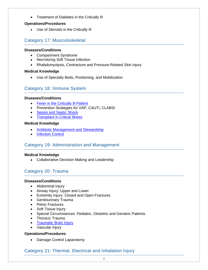• Treatment of Diabetes in the Critically Ill

## **Operations/Procedures**

• Use of Steroids in the Critically Ill

## <span id="page-6-0"></span>Category 17: Musculoskeletal

## **Diseases/Conditions**

- Compartment Syndrome
- Necrotizing Soft Tissue Infection
- Rhabdomyolysis, Contracture and Pressure-Related Skin Injury

## **Medical Knowledge**

• Use of Specialty Beds, Positioning, and Mobilization

## <span id="page-6-1"></span>Category 18: Immune System

## **Diseases/Conditions**

- [Fever in the Critically Ill Patient](https://www.surgicalcore.org/modulecontent.aspx?id=1000329)
- Prevention Strategies for VAP, CAUTI, CLABSI
- [Sepsis and Septic Shock](https://www.surgicalcore.org/modulecontent.aspx?id=1000328)
- [Transplant in Critical Illness](https://www.surgicalcore.org/modulecontent.aspx?id=1000330)

## **Medical Knowledge**

- [Antibiotic Management and Stewardship](https://www.surgicalcore.org/modulecontent.aspx?id=1000353)
- [Infection Control](https://www.surgicalcore.org/modulecontent.aspx?id=1000352)

## <span id="page-6-2"></span>Category 19: Administration and Management

## **Medical Knowledge**

• Collaborative Decision Making and Leadership

## <span id="page-6-3"></span>Category 20: Trauma

## **Diseases/Conditions**

- Abdominal Injury
- Airway Injury: Upper and Lower
- Extremity Injury: Closed and Open Fractures
- Genitourinary Trauma
- Pelvic Fractures
- Soft Tissue Injury
- Special Circumstances: Pediatric, Obstetric and Geriatric Patients
- Thoracic Trauma
- [Traumatic Brain Injury](https://www.surgicalcore.org/modulecontent.aspx?id=1000611)
- Vascular Injury

## **Operations/Procedures**

• Damage Control Laparotomy

## <span id="page-6-4"></span>Category 21: Thermal, Electrical and Inhalation Injury